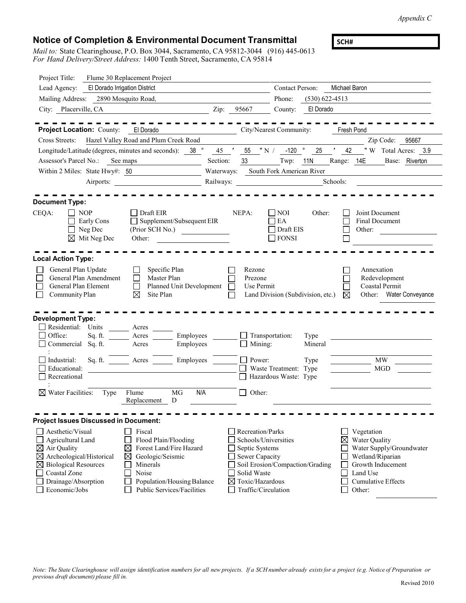*Appendix C*

**SCH#**

## **Notice of Completion & Environmental Document Transmittal**

*Mail to:* State Clearinghouse, P.O. Box 3044, Sacramento, CA 95812-3044 (916) 445-0613 *For Hand Delivery/Street Address:* 1400 Tenth Street, Sacramento, CA 95814

| Project Title:                                          | Flume 30 Replacement Project                                                                                          |           |                                    |                                      |                  |               |                             |                                         |                          |  |  |
|---------------------------------------------------------|-----------------------------------------------------------------------------------------------------------------------|-----------|------------------------------------|--------------------------------------|------------------|---------------|-----------------------------|-----------------------------------------|--------------------------|--|--|
| El Dorado Irrigation District<br>Lead Agency:           |                                                                                                                       |           |                                    | Contact Person:                      |                  | Michael Baron |                             |                                         |                          |  |  |
| Mailing Address:                                        | 2890 Mosquito Road,                                                                                                   |           |                                    | Phone:                               | $(530)$ 622-4513 |               |                             |                                         |                          |  |  |
| City: Placerville, CA                                   | <u> 1980 - Jan Samuel Barbara, político establecera en la propia de la propia de la propia de la propia de la pro</u> | Zip:      | 95667                              | County:                              | El Dorado        |               |                             |                                         |                          |  |  |
|                                                         |                                                                                                                       |           |                                    |                                      |                  |               |                             |                                         |                          |  |  |
| <b>Project Location: County:</b> El Dorado              |                                                                                                                       |           |                                    | City/Nearest Community:              |                  | Fresh Pond    |                             |                                         |                          |  |  |
| Cross Streets:                                          | Hazel Valley Road and Plum Creek Road                                                                                 |           |                                    |                                      |                  |               |                             | Zip Code: 95667                         |                          |  |  |
| Longitude/Latitude (degrees, minutes and seconds): 38 ° |                                                                                                                       | $45$ '    |                                    | 55 "N / -120 ° 25 '                  |                  | 42            |                             |                                         | "W Total Acres: 3.9      |  |  |
| Assessor's Parcel No.: See maps                         |                                                                                                                       | Section:  | 33 <sup>7</sup>                    |                                      | Twp: $11N$       |               | Range: 14E                  |                                         | Base: Riverton           |  |  |
| Within 2 Miles: State Hwy#: 50                          |                                                                                                                       |           |                                    | Waterways: South Fork American River |                  |               |                             |                                         |                          |  |  |
| Airports:                                               |                                                                                                                       | Railways: |                                    |                                      | Schools:         |               |                             |                                         |                          |  |  |
|                                                         |                                                                                                                       |           |                                    |                                      |                  |               |                             |                                         |                          |  |  |
| <b>Document Type:</b>                                   |                                                                                                                       |           |                                    |                                      |                  |               |                             |                                         |                          |  |  |
| CEQA:<br>    NOP<br>Early Cons                          | $\Box$ Draft EIR<br>Supplement/Subsequent EIR                                                                         |           | NEPA:                              | <b>NOI</b><br>EA                     | Other:           |               |                             | Joint Document<br><b>Final Document</b> |                          |  |  |
| $\Box$ Neg Dec                                          | (Prior SCH No.)                                                                                                       |           |                                    | Draft EIS                            |                  |               | Other:                      |                                         |                          |  |  |
| $\boxtimes$ Mit Neg Dec                                 | Other:                                                                                                                |           |                                    | <b>FONSI</b>                         |                  |               |                             |                                         |                          |  |  |
|                                                         |                                                                                                                       |           |                                    |                                      |                  |               |                             |                                         |                          |  |  |
| <b>Local Action Type:</b>                               |                                                                                                                       |           |                                    |                                      |                  |               |                             |                                         |                          |  |  |
| General Plan Update                                     | Specific Plan<br><b>College</b>                                                                                       |           | Rezone                             |                                      |                  |               | Annexation                  |                                         |                          |  |  |
| General Plan Amendment                                  | Master Plan<br>$\mathsf{L}$                                                                                           |           | Prezone                            |                                      |                  |               |                             | Redevelopment                           |                          |  |  |
| General Plan Element                                    | Planned Unit Development                                                                                              |           | Use Permit                         |                                      |                  |               |                             | Coastal Permit                          |                          |  |  |
| Community Plan                                          | ⊠<br>Site Plan                                                                                                        |           |                                    | Land Division (Subdivision, etc.)    |                  | ⊠             |                             |                                         | Other: Water Conveyance  |  |  |
|                                                         |                                                                                                                       |           |                                    |                                      |                  |               |                             |                                         |                          |  |  |
| <b>Development Type:</b>                                |                                                                                                                       |           |                                    |                                      |                  |               |                             |                                         |                          |  |  |
| Residential: Units<br>Office:<br>Sq. ft.                | $\frac{1}{\sqrt{1-\frac{1}{2}}}\text{Acres}$<br>Acres Employees                                                       |           |                                    | Transportation:                      | Type             |               |                             |                                         |                          |  |  |
| Commercial Sq. ft.                                      | Employees<br>Acres                                                                                                    |           | Mining:<br>ΙI                      |                                      | Mineral          |               |                             |                                         |                          |  |  |
|                                                         |                                                                                                                       |           |                                    |                                      |                  |               |                             |                                         |                          |  |  |
| Industrial:<br>Educational:                             | Employees<br>Sq. ft. Acres                                                                                            |           | $\Box$ Power:                      | $\Box$ Waste Treatment: Type         | Type             |               |                             | MW<br><b>MGD</b>                        |                          |  |  |
| Recreational                                            |                                                                                                                       |           |                                    | Hazardous Waste: Type                |                  |               |                             |                                         |                          |  |  |
|                                                         |                                                                                                                       |           |                                    |                                      |                  |               |                             |                                         |                          |  |  |
| Water Facilities:<br>Type                               | MG<br>N/A<br>Flume                                                                                                    |           | Other:<br>$\overline{\phantom{a}}$ |                                      |                  |               |                             |                                         |                          |  |  |
|                                                         | D<br>Replacement                                                                                                      |           |                                    |                                      |                  |               |                             |                                         |                          |  |  |
|                                                         |                                                                                                                       |           |                                    |                                      |                  |               |                             |                                         |                          |  |  |
| <b>Project Issues Discussed in Document:</b>            |                                                                                                                       |           |                                    |                                      |                  |               |                             |                                         |                          |  |  |
| Aesthetic/Visual<br><b>Agricultural Land</b>            | Fiscal<br>Flood Plain/Flooding                                                                                        |           | Recreation/Parks                   | Schools/Universities                 |                  | $\boxtimes$   | Vegetation<br>Water Quality |                                         |                          |  |  |
| $\boxtimes$ Air Quality                                 | Forest Land/Fire Hazard<br>$\boxtimes$                                                                                |           | Septic Systems                     |                                      |                  |               |                             |                                         | Water Supply/Groundwater |  |  |
| Archeological/Historical<br>⊠                           | Geologic/Seismic<br>⊠                                                                                                 |           | Sewer Capacity                     |                                      |                  |               | Wetland/Riparian            |                                         |                          |  |  |
| $\boxtimes$ Biological Resources                        | Minerals                                                                                                              |           |                                    | Soil Erosion/Compaction/Grading      |                  |               |                             | Growth Inducement                       |                          |  |  |
| Coastal Zone                                            | Noise                                                                                                                 |           | Solid Waste                        |                                      |                  |               | Land Use                    |                                         |                          |  |  |
| Drainage/Absorption                                     | Population/Housing Balance                                                                                            |           | $\boxtimes$ Toxic/Hazardous        |                                      |                  |               |                             | Cumulative Effects                      |                          |  |  |
| Economic/Jobs                                           | Public Services/Facilities                                                                                            |           |                                    | Traffic/Circulation                  |                  |               | Other:                      |                                         |                          |  |  |

Note: The State Clearinghouse will assign identification numbers for all new projects. If a SCH number already exists for a project (e.g. Notice of Preparation or *previous draft document) please fill in.*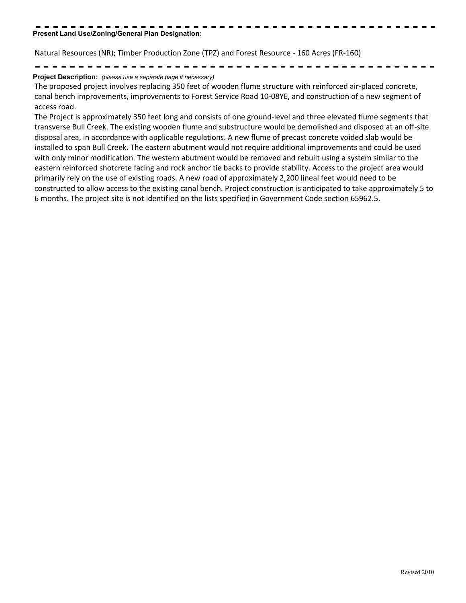## **Present Land Use/Zoning/General Plan Designation:**

Natural Resources (NR); Timber Production Zone (TPZ) and Forest Resource - 160 Acres (FR-160)

## **Project Description:** *(please use a separate page if necessary)*

The proposed project involves replacing 350 feet of wooden flume structure with reinforced air-placed concrete, canal bench improvements, improvements to Forest Service Road 10-08YE, and construction of a new segment of access road.

The Project is approximately 350 feet long and consists of one ground-level and three elevated flume segments that transverse Bull Creek. The existing wooden flume and substructure would be demolished and disposed at an off-site disposal area, in accordance with applicable regulations. A new flume of precast concrete voided slab would be installed to span Bull Creek. The eastern abutment would not require additional improvements and could be used with only minor modification. The western abutment would be removed and rebuilt using a system similar to the eastern reinforced shotcrete facing and rock anchor tie backs to provide stability. Access to the project area would primarily rely on the use of existing roads. A new road of approximately 2,200 lineal feet would need to be constructed to allow access to the existing canal bench. Project construction is anticipated to take approximately 5 to 6 months. The project site is not identified on the lists specified in Government Code section 65962.5.